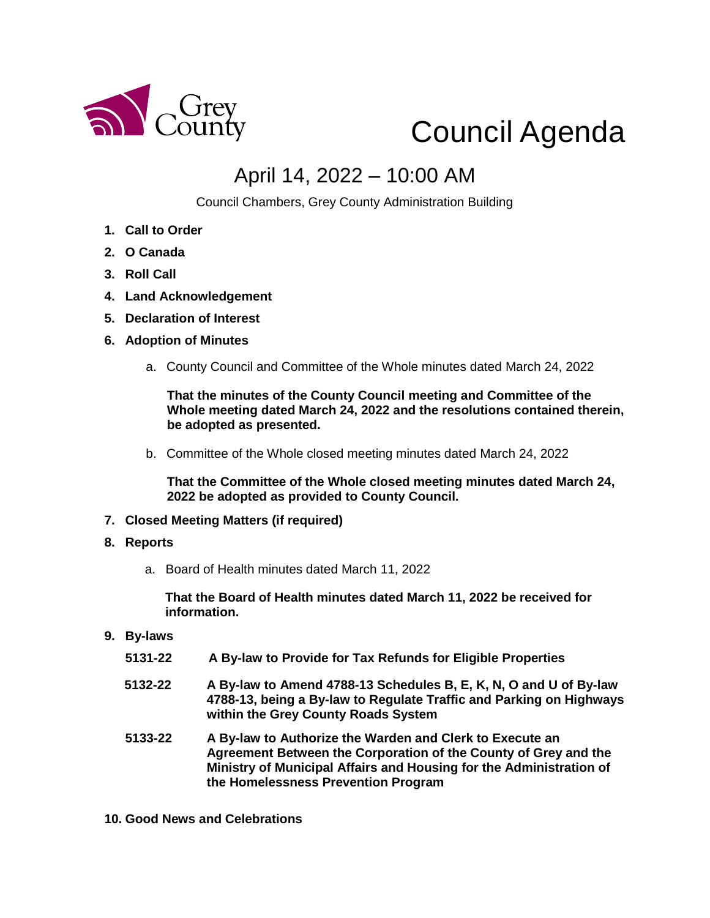

## Council Agenda

## April 14, 2022 – 10:00 AM

Council Chambers, Grey County Administration Building

- **1. Call to Order**
- **2. O Canada**
- **3. Roll Call**
- **4. Land Acknowledgement**
- **5. Declaration of Interest**
- **6. Adoption of Minutes** 
	- a. County Council and Committee of the Whole minutes dated March 24, 2022

**That the minutes of the County Council meeting and Committee of the Whole meeting dated March 24, 2022 and the resolutions contained therein, be adopted as presented.** 

b. Committee of the Whole closed meeting minutes dated March 24, 2022

**That the Committee of the Whole closed meeting minutes dated March 24, 2022 be adopted as provided to County Council.**

- **7. Closed Meeting Matters (if required)**
- **8. Reports**
	- a. Board of Health minutes dated March 11, 2022

**That the Board of Health minutes dated March 11, 2022 be received for information.** 

- **9. By-laws** 
	- **5131-22 A By-law to Provide for Tax Refunds for Eligible Properties**
	- **5132-22 A By-law to Amend 4788-13 Schedules B, E, K, N, O and U of By-law 4788-13, being a By-law to Regulate Traffic and Parking on Highways within the Grey County Roads System**
	- **5133-22 A By-law to Authorize the Warden and Clerk to Execute an Agreement Between the Corporation of the County of Grey and the Ministry of Municipal Affairs and Housing for the Administration of the Homelessness Prevention Program**
- **10. Good News and Celebrations**